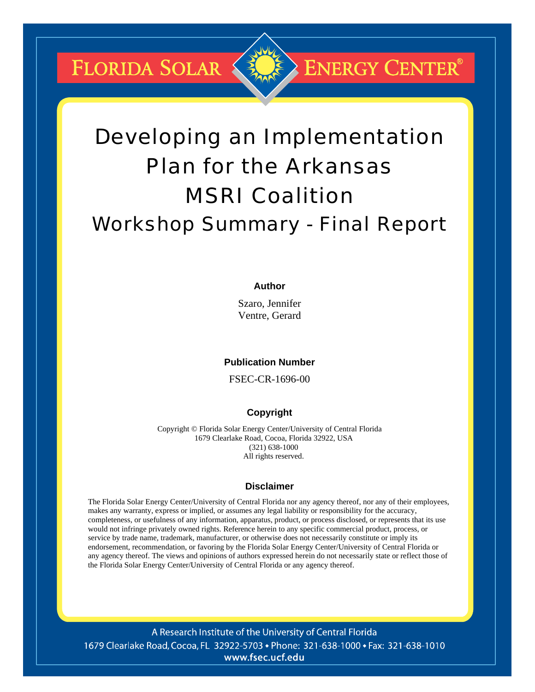**FLORIDA SOLAR &** 



# Developing an Implementation Plan for the Arkansas MSRI Coalition Workshop Summary - Final Report

#### **Author**

Szaro, Jennifer Ventre, Gerard

#### **Publication Number**

FSEC-CR-1696-00

#### **Copyright**

Copyright © Florida Solar Energy Center/University of Central Florida 1679 Clearlake Road, Cocoa, Florida 32922, USA (321) 638-1000 All rights reserved.

#### **Disclaimer**

The Florida Solar Energy Center/University of Central Florida nor any agency thereof, nor any of their employees, makes any warranty, express or implied, or assumes any legal liability or responsibility for the accuracy, completeness, or usefulness of any information, apparatus, product, or process disclosed, or represents that its use would not infringe privately owned rights. Reference herein to any specific commercial product, process, or service by trade name, trademark, manufacturer, or otherwise does not necessarily constitute or imply its endorsement, recommendation, or favoring by the Florida Solar Energy Center/University of Central Florida or any agency thereof. The views and opinions of authors expressed herein do not necessarily state or reflect those of the Florida Solar Energy Center/University of Central Florida or any agency thereof.

A Research Institute of the University of Central Florida 1679 Clearlake Road, Cocoa, FL 32922-5703 • Phone: 321-638-1000 • Fax: 321-638-1010 www.fsec.ucf.edu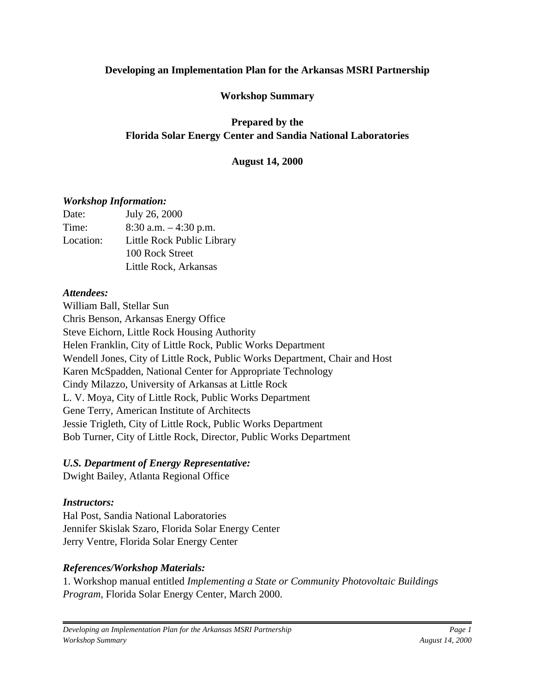#### **Developing an Implementation Plan for the Arkansas MSRI Partnership**

**Workshop Summary**

## **Prepared by the Florida Solar Energy Center and Sandia National Laboratories**

#### **August 14, 2000**

#### *Workshop Information:*

| Date:     | July 26, 2000              |
|-----------|----------------------------|
| Time:     | $8:30$ a.m. $-4:30$ p.m.   |
| Location: | Little Rock Public Library |
|           | 100 Rock Street            |
|           | Little Rock, Arkansas      |

#### *Attendees:*

William Ball, Stellar Sun Chris Benson, Arkansas Energy Office Steve Eichorn, Little Rock Housing Authority Helen Franklin, City of Little Rock, Public Works Department Wendell Jones, City of Little Rock, Public Works Department, Chair and Host Karen McSpadden, National Center for Appropriate Technology Cindy Milazzo, University of Arkansas at Little Rock L. V. Moya, City of Little Rock, Public Works Department Gene Terry, American Institute of Architects Jessie Trigleth, City of Little Rock, Public Works Department Bob Turner, City of Little Rock, Director, Public Works Department

#### *U.S. Department of Energy Representative:*

Dwight Bailey, Atlanta Regional Office

#### *Instructors:*

Hal Post, Sandia National Laboratories Jennifer Skislak Szaro, Florida Solar Energy Center Jerry Ventre, Florida Solar Energy Center

## *References/Workshop Materials:*

1. Workshop manual entitled *Implementing a State or Community Photovoltaic Buildings Program*, Florida Solar Energy Center, March 2000.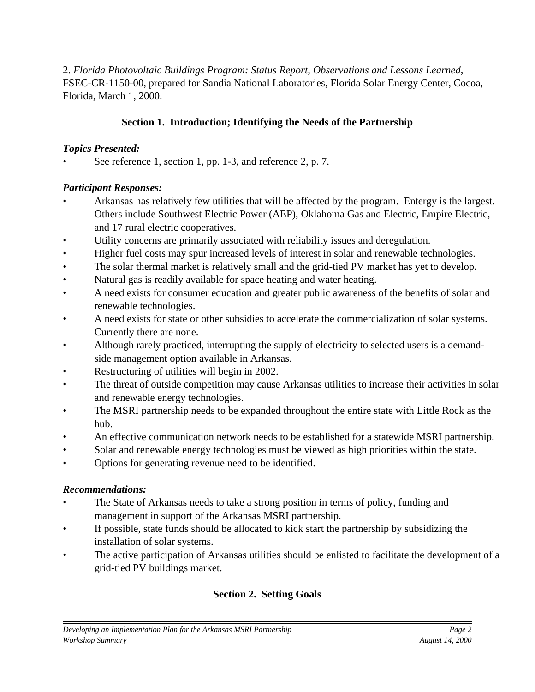2. *Florida Photovoltaic Buildings Program: Status Report, Observations and Lessons Learned*, FSEC-CR-1150-00, prepared for Sandia National Laboratories, Florida Solar Energy Center, Cocoa, Florida, March 1, 2000.

# **Section 1. Introduction; Identifying the Needs of the Partnership**

## *Topics Presented:*

See reference 1, section 1, pp. 1-3, and reference 2, p. 7.

# *Participant Responses:*

- Arkansas has relatively few utilities that will be affected by the program. Entergy is the largest. Others include Southwest Electric Power (AEP), Oklahoma Gas and Electric, Empire Electric, and 17 rural electric cooperatives.
- Utility concerns are primarily associated with reliability issues and deregulation.
- Higher fuel costs may spur increased levels of interest in solar and renewable technologies.
- The solar thermal market is relatively small and the grid-tied PV market has yet to develop.
- Natural gas is readily available for space heating and water heating.
- A need exists for consumer education and greater public awareness of the benefits of solar and renewable technologies.
- A need exists for state or other subsidies to accelerate the commercialization of solar systems. Currently there are none.
- Although rarely practiced, interrupting the supply of electricity to selected users is a demandside management option available in Arkansas.
- Restructuring of utilities will begin in 2002.
- The threat of outside competition may cause Arkansas utilities to increase their activities in solar and renewable energy technologies.
- The MSRI partnership needs to be expanded throughout the entire state with Little Rock as the hub.
- An effective communication network needs to be established for a statewide MSRI partnership.
- Solar and renewable energy technologies must be viewed as high priorities within the state.
- Options for generating revenue need to be identified.

# *Recommendations:*

- The State of Arkansas needs to take a strong position in terms of policy, funding and management in support of the Arkansas MSRI partnership.
- If possible, state funds should be allocated to kick start the partnership by subsidizing the installation of solar systems.
- The active participation of Arkansas utilities should be enlisted to facilitate the development of a grid-tied PV buildings market.

# **Section 2. Setting Goals**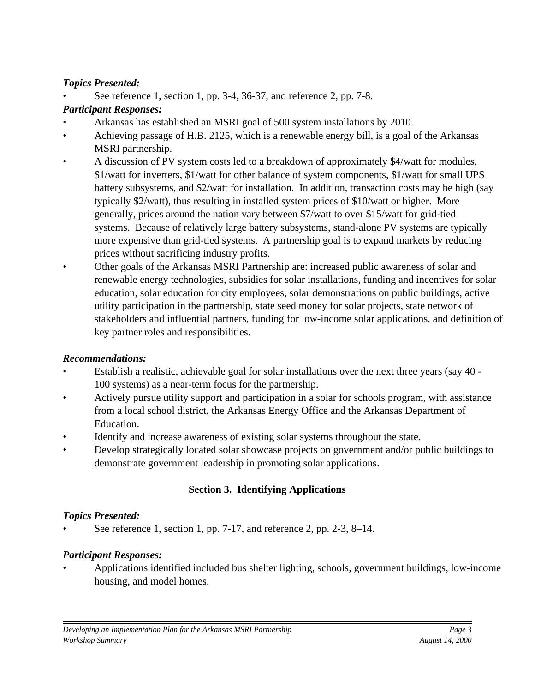## *Topics Presented:*

• See reference 1, section 1, pp. 3-4, 36-37, and reference 2, pp. 7-8.

# *Participant Responses:*

- Arkansas has established an MSRI goal of 500 system installations by 2010.
- Achieving passage of H.B. 2125, which is a renewable energy bill, is a goal of the Arkansas MSRI partnership.
- A discussion of PV system costs led to a breakdown of approximately \$4/watt for modules, \$1/watt for inverters, \$1/watt for other balance of system components, \$1/watt for small UPS battery subsystems, and \$2/watt for installation. In addition, transaction costs may be high (say typically \$2/watt), thus resulting in installed system prices of \$10/watt or higher. More generally, prices around the nation vary between \$7/watt to over \$15/watt for grid-tied systems. Because of relatively large battery subsystems, stand-alone PV systems are typically more expensive than grid-tied systems. A partnership goal is to expand markets by reducing prices without sacrificing industry profits.
- Other goals of the Arkansas MSRI Partnership are: increased public awareness of solar and renewable energy technologies, subsidies for solar installations, funding and incentives for solar education, solar education for city employees, solar demonstrations on public buildings, active utility participation in the partnership, state seed money for solar projects, state network of stakeholders and influential partners, funding for low-income solar applications, and definition of key partner roles and responsibilities.

# *Recommendations:*

- Establish a realistic, achievable goal for solar installations over the next three years (say 40 100 systems) as a near-term focus for the partnership.
- Actively pursue utility support and participation in a solar for schools program, with assistance from a local school district, the Arkansas Energy Office and the Arkansas Department of Education.
- Identify and increase awareness of existing solar systems throughout the state.
- Develop strategically located solar showcase projects on government and/or public buildings to demonstrate government leadership in promoting solar applications.

# **Section 3. Identifying Applications**

## *Topics Presented:*

• See reference 1, section 1, pp. 7-17, and reference 2, pp. 2-3, 8–14.

# *Participant Responses:*

• Applications identified included bus shelter lighting, schools, government buildings, low-income housing, and model homes.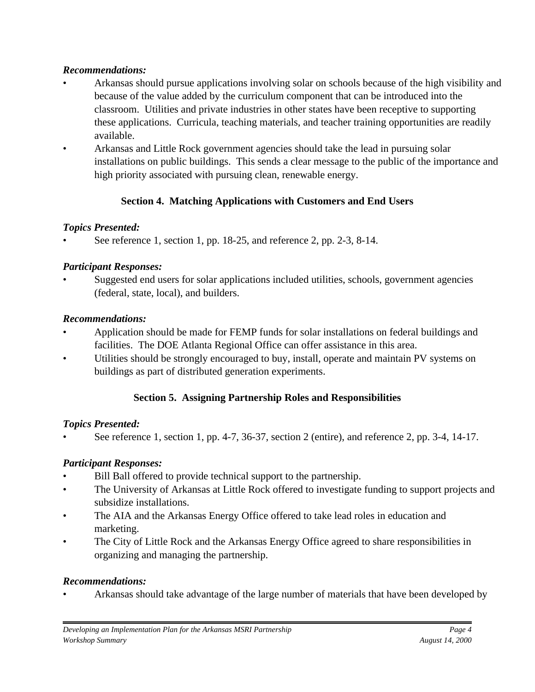### *Recommendations:*

- Arkansas should pursue applications involving solar on schools because of the high visibility and because of the value added by the curriculum component that can be introduced into the classroom. Utilities and private industries in other states have been receptive to supporting these applications. Curricula, teaching materials, and teacher training opportunities are readily available.
- Arkansas and Little Rock government agencies should take the lead in pursuing solar installations on public buildings. This sends a clear message to the public of the importance and high priority associated with pursuing clean, renewable energy.

## **Section 4. Matching Applications with Customers and End Users**

## *Topics Presented:*

• See reference 1, section 1, pp. 18-25, and reference 2, pp. 2-3, 8-14.

#### *Participant Responses:*

• Suggested end users for solar applications included utilities, schools, government agencies (federal, state, local), and builders.

#### *Recommendations:*

- Application should be made for FEMP funds for solar installations on federal buildings and facilities. The DOE Atlanta Regional Office can offer assistance in this area.
- Utilities should be strongly encouraged to buy, install, operate and maintain PV systems on buildings as part of distributed generation experiments.

## **Section 5. Assigning Partnership Roles and Responsibilities**

## *Topics Presented:*

• See reference 1, section 1, pp. 4-7, 36-37, section 2 (entire), and reference 2, pp. 3-4, 14-17.

## *Participant Responses:*

- Bill Ball offered to provide technical support to the partnership.
- The University of Arkansas at Little Rock offered to investigate funding to support projects and subsidize installations.
- The AIA and the Arkansas Energy Office offered to take lead roles in education and marketing.
- The City of Little Rock and the Arkansas Energy Office agreed to share responsibilities in organizing and managing the partnership.

#### *Recommendations:*

• Arkansas should take advantage of the large number of materials that have been developed by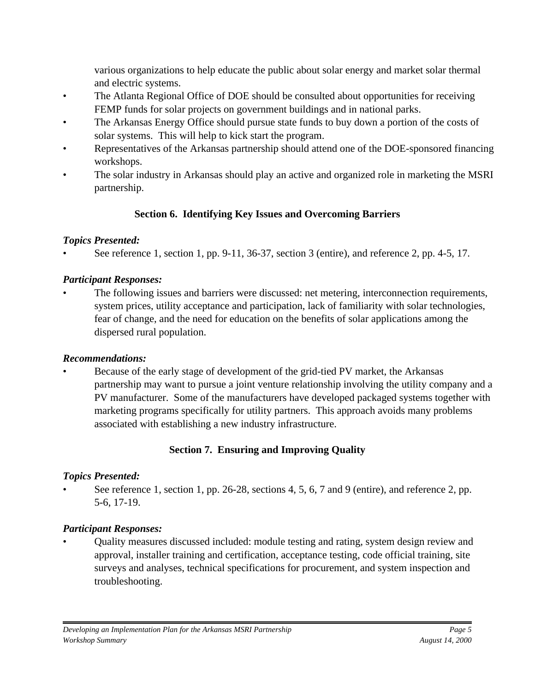various organizations to help educate the public about solar energy and market solar thermal and electric systems.

- The Atlanta Regional Office of DOE should be consulted about opportunities for receiving FEMP funds for solar projects on government buildings and in national parks.
- The Arkansas Energy Office should pursue state funds to buy down a portion of the costs of solar systems. This will help to kick start the program.
- Representatives of the Arkansas partnership should attend one of the DOE-sponsored financing workshops.
- The solar industry in Arkansas should play an active and organized role in marketing the MSRI partnership.

# **Section 6. Identifying Key Issues and Overcoming Barriers**

# *Topics Presented:*

• See reference 1, section 1, pp. 9-11, 36-37, section 3 (entire), and reference 2, pp. 4-5, 17.

# *Participant Responses:*

The following issues and barriers were discussed: net metering, interconnection requirements, system prices, utility acceptance and participation, lack of familiarity with solar technologies, fear of change, and the need for education on the benefits of solar applications among the dispersed rural population.

# *Recommendations:*

Because of the early stage of development of the grid-tied PV market, the Arkansas partnership may want to pursue a joint venture relationship involving the utility company and a PV manufacturer. Some of the manufacturers have developed packaged systems together with marketing programs specifically for utility partners. This approach avoids many problems associated with establishing a new industry infrastructure.

# **Section 7. Ensuring and Improving Quality**

# *Topics Presented:*

• See reference 1, section 1, pp. 26-28, sections 4, 5, 6, 7 and 9 (entire), and reference 2, pp. 5-6, 17-19.

# *Participant Responses:*

• Quality measures discussed included: module testing and rating, system design review and approval, installer training and certification, acceptance testing, code official training, site surveys and analyses, technical specifications for procurement, and system inspection and troubleshooting.